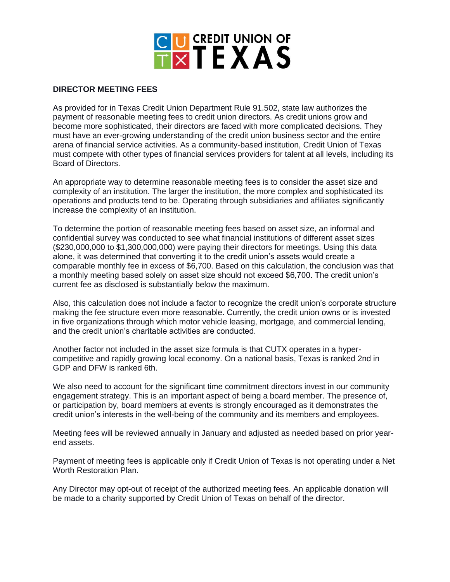

## **DIRECTOR MEETING FEES**

As provided for in Texas Credit Union Department Rule 91.502, state law authorizes the payment of reasonable meeting fees to credit union directors. As credit unions grow and become more sophisticated, their directors are faced with more complicated decisions. They must have an ever-growing understanding of the credit union business sector and the entire arena of financial service activities. As a community-based institution, Credit Union of Texas must compete with other types of financial services providers for talent at all levels, including its Board of Directors.

An appropriate way to determine reasonable meeting fees is to consider the asset size and complexity of an institution. The larger the institution, the more complex and sophisticated its operations and products tend to be. Operating through subsidiaries and affiliates significantly increase the complexity of an institution.

To determine the portion of reasonable meeting fees based on asset size, an informal and confidential survey was conducted to see what financial institutions of different asset sizes (\$230,000,000 to \$1,300,000,000) were paying their directors for meetings. Using this data alone, it was determined that converting it to the credit union's assets would create a comparable monthly fee in excess of \$6,700. Based on this calculation, the conclusion was that a monthly meeting based solely on asset size should not exceed \$6,700. The credit union's current fee as disclosed is substantially below the maximum.

Also, this calculation does not include a factor to recognize the credit union's corporate structure making the fee structure even more reasonable. Currently, the credit union owns or is invested in five organizations through which motor vehicle leasing, mortgage, and commercial lending, and the credit union's charitable activities are conducted.

Another factor not included in the asset size formula is that CUTX operates in a hypercompetitive and rapidly growing local economy. On a national basis, Texas is ranked 2nd in GDP and DFW is ranked 6th.

We also need to account for the significant time commitment directors invest in our community engagement strategy. This is an important aspect of being a board member. The presence of, or participation by, board members at events is strongly encouraged as it demonstrates the credit union's interests in the well-being of the community and its members and employees.

Meeting fees will be reviewed annually in January and adjusted as needed based on prior yearend assets.

Payment of meeting fees is applicable only if Credit Union of Texas is not operating under a Net Worth Restoration Plan.

Any Director may opt-out of receipt of the authorized meeting fees. An applicable donation will be made to a charity supported by Credit Union of Texas on behalf of the director.